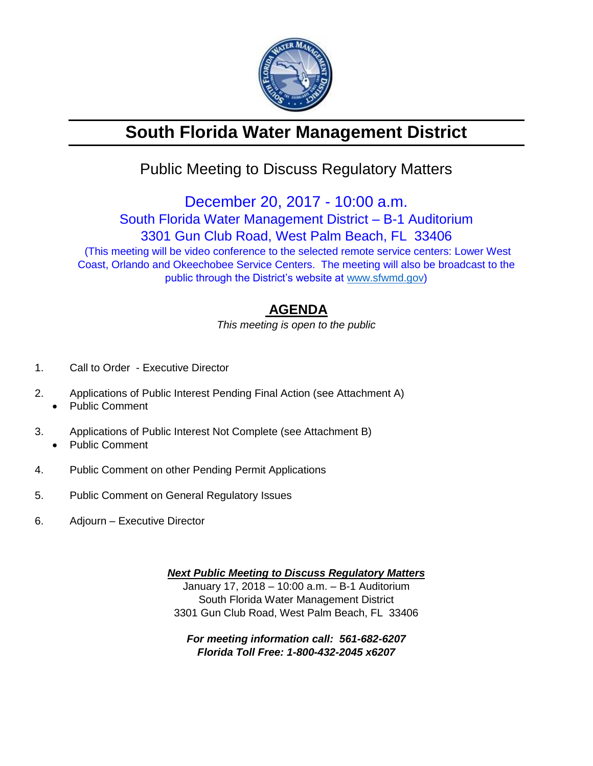

# **South Florida Water Management District**

## Public Meeting to Discuss Regulatory Matters

December 20, 2017 - 10:00 a.m. South Florida Water Management District – B-1 Auditorium 3301 Gun Club Road, West Palm Beach, FL 33406 (This meeting will be video conference to the selected remote service centers: Lower West Coast, Orlando and Okeechobee Service Centers. The meeting will also be broadcast to the public through the District's website at [www.sfwmd.gov\)](http://www.sfwmd.gov/)

### **AGENDA**

*This meeting is open to the public*

- 1. Call to Order Executive Director
- 2. Applications of Public Interest Pending Final Action (see Attachment A)
	- Public Comment
- 3. Applications of Public Interest Not Complete (see Attachment B) • Public Comment
- 4. Public Comment on other Pending Permit Applications
- 5. Public Comment on General Regulatory Issues
- 6. Adjourn Executive Director

*Next Public Meeting to Discuss Regulatory Matters* January 17, 2018 – 10:00 a.m. – B-1 Auditorium South Florida Water Management District 3301 Gun Club Road, West Palm Beach, FL 33406

*For meeting information call: 561-682-6207 Florida Toll Free: 1-800-432-2045 x6207*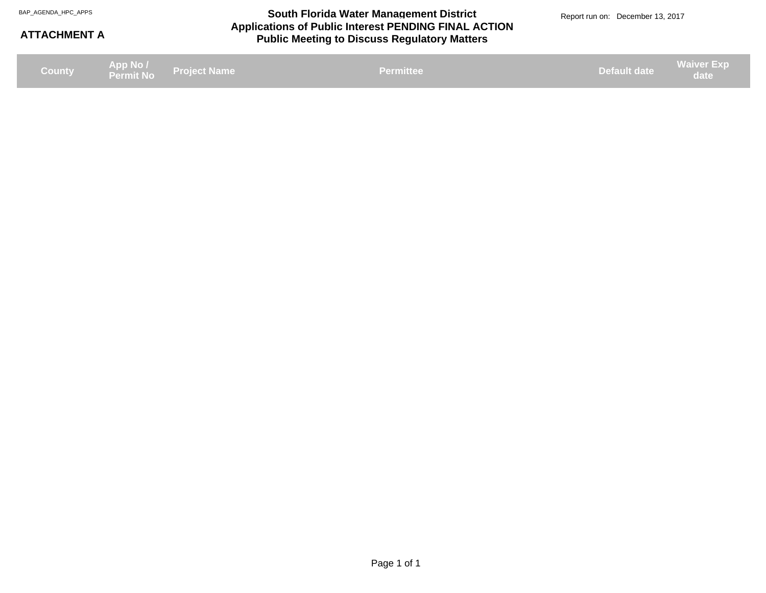#### **Applications of Public Interest PENDING FINAL ACTION Public Meeting to Discuss Regulatory Matters** BAP\_AGENDA\_HPC\_APPS **South Florida Water Management District** BAP\_AGENDA\_HPC\_APPS Report run on: December 13, 2017

#### **ATTACHMENT A**

| County |  | App No /<br>Permit No Project Name | Permittee | <b>Default date</b> | <b>Waiver Exp</b><br>date |
|--------|--|------------------------------------|-----------|---------------------|---------------------------|
|--------|--|------------------------------------|-----------|---------------------|---------------------------|